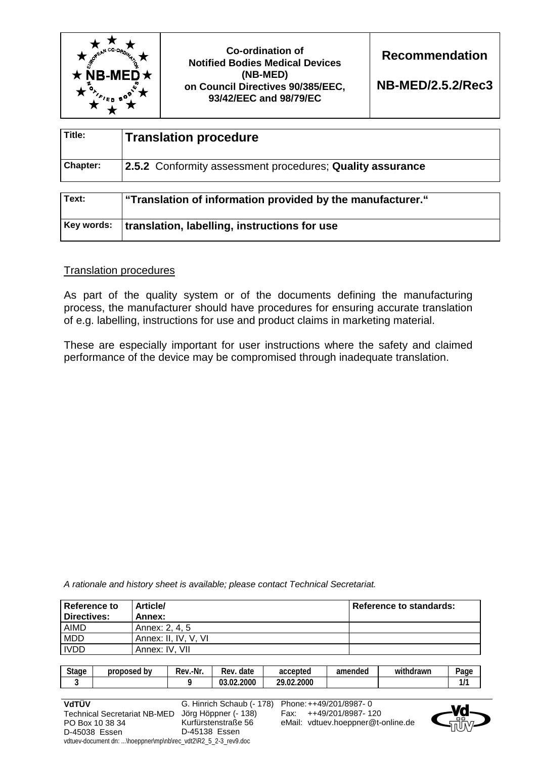

**Co-ordination of Notified Bodies Medical Devices (NB-MED) on Council Directives 90/385/EEC, 93/42/EEC and 98/79/EC** 

**Recommendation** 

**NB-MED/2.5.2/Rec3**

| Title:          | <b>Translation procedure</b>                              |
|-----------------|-----------------------------------------------------------|
| <b>Chapter:</b> | 2.5.2 Conformity assessment procedures; Quality assurance |

| Text: | "Translation of information provided by the manufacturer." |
|-------|------------------------------------------------------------|
|       | Key words:   translation, labelling, instructions for use  |

## Translation procedures

As part of the quality system or of the documents defining the manufacturing process, the manufacturer should have procedures for ensuring accurate translation of e.g. labelling, instructions for use and product claims in marketing material.

These are especially important for user instructions where the safety and claimed performance of the device may be compromised through inadequate translation.

*A rationale and history sheet is available; please contact Technical Secretariat.* 

| Reference to<br>Directives: | <b>Article/</b><br>Annex: | <b>Reference to standards:</b> |
|-----------------------------|---------------------------|--------------------------------|
| AIMD                        | Annex: 2, 4, 5            |                                |
| <b>MDD</b>                  | Annex: II. IV. V. VI      |                                |
| <b>IVDD</b>                 | Annex: IV. VII            |                                |

| <b>Stage</b> | proposed<br>bv | -Nr.<br>-<br>Rev. | Rev.<br>date              | accepted              | amended | $\cdots$<br>thdrawn<br>wit | $P$ age |
|--------------|----------------|-------------------|---------------------------|-----------------------|---------|----------------------------|---------|
|              |                |                   | .2000<br>$\sim$<br>ົດ - ລ | .2000<br>ንዐ<br>$\sim$ |         |                            | -       |

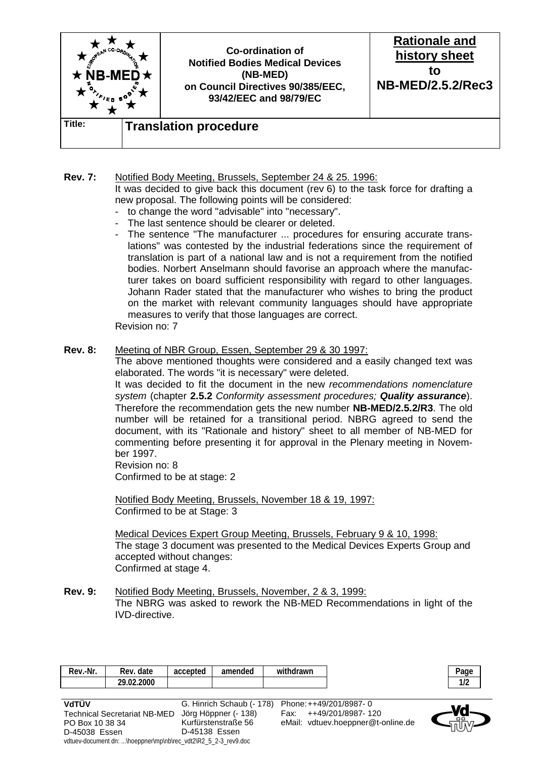

## **Rev. 7:** Notified Body Meeting, Brussels, September 24 & 25. 1996: It was decided to give back this document (rev 6) to the task force for drafting a new proposal. The following points will be considered:

- to change the word "advisable" into "necessary".
- The last sentence should be clearer or deleted.
- The sentence "The manufacturer ... procedures for ensuring accurate translations" was contested by the industrial federations since the requirement of translation is part of a national law and is not a requirement from the notified bodies. Norbert Anselmann should favorise an approach where the manufacturer takes on board sufficient responsibility with regard to other languages. Johann Rader stated that the manufacturer who wishes to bring the product on the market with relevant community languages should have appropriate measures to verify that those languages are correct.

Revision no: 7

## **Rev. 8:** Meeting of NBR Group, Essen, September 29 & 30 1997:

 The above mentioned thoughts were considered and a easily changed text was elaborated. The words "it is necessary" were deleted.

 It was decided to fit the document in the new *recommendations nomenclature system* (chapter **2.5.2** *Conformity assessment procedures; Quality assurance*). Therefore the recommendation gets the new number **NB-MED/2.5.2/R3**. The old number will be retained for a transitional period. NBRG agreed to send the document, with its "Rationale and history" sheet to all member of NB-MED for commenting before presenting it for approval in the Plenary meeting in November 1997.

 Revision no: 8 Confirmed to be at stage: 2

 Notified Body Meeting, Brussels, November 18 & 19, 1997: Confirmed to be at Stage: 3

 Medical Devices Expert Group Meeting, Brussels, February 9 & 10, 1998: The stage 3 document was presented to the Medical Devices Experts Group and accepted without changes: Confirmed at stage 4.

**Rev. 9:** Notified Body Meeting, Brussels, November, 2 & 3, 1999: The NBRG was asked to rework the NB-MED Recommendations in light of the IVD-directive.

| 29.02.2000 | Rev.-Nr. | Rev. date | accepted | amended | withdrawn | $P$ age     |
|------------|----------|-----------|----------|---------|-----------|-------------|
|            |          |           |          |         |           | 110<br>11 Z |
|            |          |           |          |         |           |             |